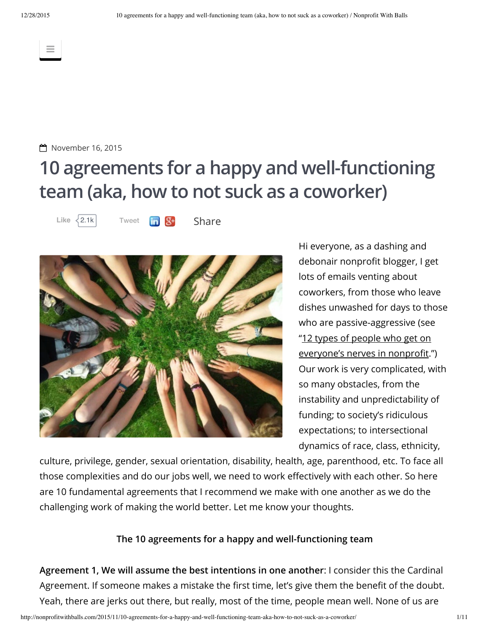$\equiv$ 



# **10 agreements for a happy and well-functioning team (aka, how to not suck as a coworker)**

[Tweet](https://twitter.com/intent/tweet?original_referer=http%3A%2F%2Fnonprofitwithballs.com%2F2015%2F11%2F10-agreements-for-a-happy-and-well-functioning-team-aka-how-to-not-suck-as-a-coworker%2F&ref_src=twsrc%5Etfw&related=AddToAny%2Cmicropat&text=10%20agreements%20for%20a%20happy%20and%20well-functioning%20team%20(aka%2C%20how%20to%20not%20suck%20as%20a%20coworker)&tw_p=tweetbutton&url=http%3A%2F%2Fnonprofitwithballs.com%2F2015%2F11%2F10-agreements-for-a-happy-and-well-functioning-team-aka-how-to-not-suck-as-a-coworker%2F) **In St** [Share](https://www.addtoany.com/share#url=http%3A%2F%2Fnonprofitwithballs.com%2F2015%2F11%2F10-agreements-for-a-happy-and-well-functioning-team-aka-how-to-not-suck-as-a-coworker%2F&title=10%20agreements%20for%20a%20happy%20and%20well-functioning%20team%20(aka%2C%20how%20to%20not%20suck%20as%20a%20coworker)&description=) Like  $\langle$  2.1k



Hi everyone, as a dashing and debonair nonprofit blogger, I get lots of emails venting about coworkers, from those who leave dishes unwashed for days to those who are passive-aggressive (see "12 types of people who get on [everyone's](http://nonprofitwithballs.com/2015/03/12-types-of-people-who-get-on-everyones-nerves-in-nonprofit/) nerves in nonprofit.") Our work is very complicated, with so many obstacles, from the instability and unpredictability of funding; to society's ridiculous expectations; to intersectional dynamics of race, class, ethnicity,

culture, privilege, gender, sexual orientation, disability, health, age, parenthood, etc. To face all those complexities and do our jobs well, we need to work effectively with each other. So here are 10 fundamental agreements that I recommend we make with one another as we do the challenging work of making the world better. Let me know your thoughts.

### **The 10 agreements for a happy and well-functioning team**

**Agreement 1, We will assume the best intentions in one another**: I consider this the Cardinal Agreement. If someone makes a mistake the first time, let's give them the benefit of the doubt. Yeah, there are jerks out there, but really, most of the time, people mean well. None of us are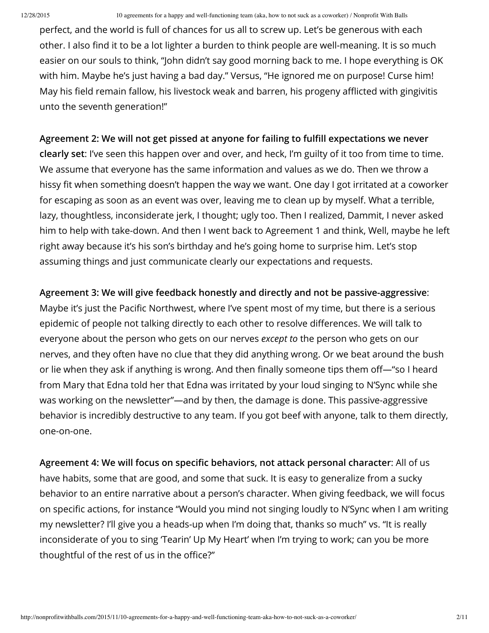perfect, and the world is full of chances for us all to screw up. Let's be generous with each other. I also find it to be a lot lighter a burden to think people are well-meaning. It is so much easier on our souls to think, "John didn't say good morning back to me. I hope everything is OK with him. Maybe he's just having a bad day." Versus, "He ignored me on purpose! Curse him! May his field remain fallow, his livestock weak and barren, his progeny afflicted with gingivitis unto the seventh generation!"

# **Agreement 2: We will not get pissed at anyone for failing to fulll expectations we never**

**clearly set**: I've seen this happen over and over, and heck, I'm guilty of it too from time to time. We assume that everyone has the same information and values as we do. Then we throw a hissy fit when something doesn't happen the way we want. One day I got irritated at a coworker for escaping as soon as an event was over, leaving me to clean up by myself. What a terrible, lazy, thoughtless, inconsiderate jerk, I thought; ugly too. Then I realized, Dammit, I never asked him to help with take-down. And then I went back to Agreement 1 and think, Well, maybe he left right away because it's his son's birthday and he's going home to surprise him. Let's stop assuming things and just communicate clearly our expectations and requests.

## **Agreement 3: We will give feedback honestly and directly and not be passive-aggressive**:

Maybe it's just the Pacific Northwest, where I've spent most of my time, but there is a serious epidemic of people not talking directly to each other to resolve differences. We will talk to everyone about the person who gets on our nerves *except to* the person who gets on our nerves, and they often have no clue that they did anything wrong. Or we beat around the bush or lie when they ask if anything is wrong. And then finally someone tips them off—"so I heard from Mary that Edna told her that Edna was irritated by your loud singing to N'Sync while she was working on the newsletter"—and by then, the damage is done. This passive-aggressive behavior is incredibly destructive to any team. If you got beef with anyone, talk to them directly, one-on-one.

**Agreement 4: We will focus on specic behaviors, not attack personal character**: All of us have habits, some that are good, and some that suck. It is easy to generalize from a sucky behavior to an entire narrative about a person's character. When giving feedback, we will focus on specific actions, for instance "Would you mind not singing loudly to N'Sync when I am writing my newsletter? I'll give you a heads-up when I'm doing that, thanks so much" vs. "It is really inconsiderate of you to sing 'Tearin' Up My Heart' when I'm trying to work; can you be more thoughtful of the rest of us in the office?"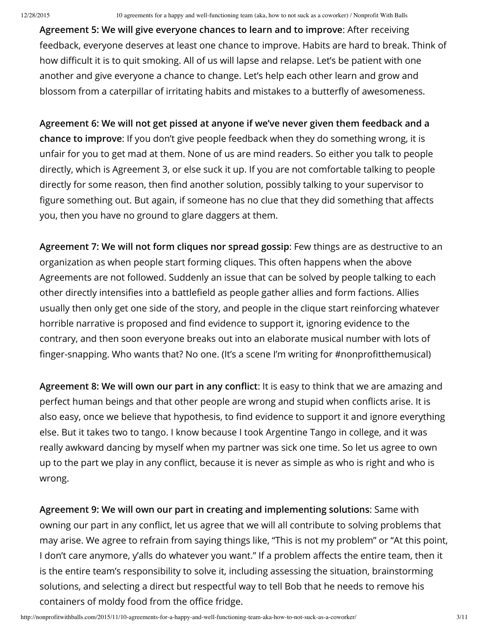**Agreement 5: We will give everyone chances to learn and to improve**: After receiving feedback, everyone deserves at least one chance to improve. Habits are hard to break. Think of how difficult it is to quit smoking. All of us will lapse and relapse. Let's be patient with one another and give everyone a chance to change. Let's help each other learn and grow and blossom from a caterpillar of irritating habits and mistakes to a butterfly of awesomeness.

**Agreement 6: We will not get pissed at anyone if we've never given them feedback and a chance to improve**: If you don't give people feedback when they do something wrong, it is unfair for you to get mad at them. None of us are mind readers. So either you talk to people directly, which is Agreement 3, or else suck it up. If you are not comfortable talking to people directly for some reason, then find another solution, possibly talking to your supervisor to figure something out. But again, if someone has no clue that they did something that affects you, then you have no ground to glare daggers at them.

**Agreement 7: We will not form cliques nor spread gossip**: Few things are as destructive to an organization as when people start forming cliques. This often happens when the above Agreements are not followed. Suddenly an issue that can be solved by people talking to each other directly intensifies into a battlefield as people gather allies and form factions. Allies usually then only get one side of the story, and people in the clique start reinforcing whatever horrible narrative is proposed and find evidence to support it, ignoring evidence to the contrary, and then soon everyone breaks out into an elaborate musical number with lots of finger-snapping. Who wants that? No one. (It's a scene I'm writing for #nonprofitthemusical)

**Agreement 8: We will own our part in any conict**: It is easy to think that we are amazing and perfect human beings and that other people are wrong and stupid when conflicts arise. It is also easy, once we believe that hypothesis, to find evidence to support it and ignore everything else. But it takes two to tango. I know because I took Argentine Tango in college, and it was really awkward dancing by myself when my partner was sick one time. So let us agree to own up to the part we play in any conflict, because it is never as simple as who is right and who is wrong.

**Agreement 9: We will own our part in creating and implementing solutions**: Same with owning our part in any conflict, let us agree that we will all contribute to solving problems that may arise. We agree to refrain from saying things like, "This is not my problem" or "At this point, I don't care anymore, y'alls do whatever you want." If a problem affects the entire team, then it is the entire team's responsibility to solve it, including assessing the situation, brainstorming solutions, and selecting a direct but respectful way to tell Bob that he needs to remove his containers of moldy food from the office fridge.